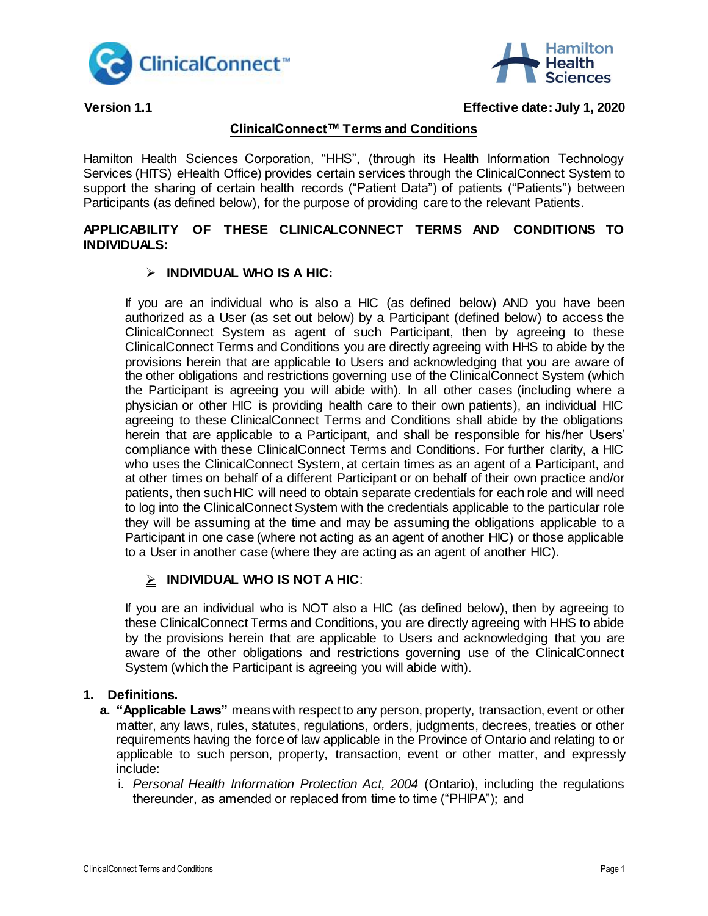



## **Version 1.1 Effective date: July 1, 2020**

# **ClinicalConnect™ Terms and Conditions**

Hamilton Health Sciences Corporation, "HHS", (through its Health Information Technology Services (HITS) eHealth Office) provides certain services through the ClinicalConnect System to support the sharing of certain health records ("Patient Data") of patients ("Patients") between Participants (as defined below), for the purpose of providing care to the relevant Patients.

## **APPLICABILITY OF THESE CLINICALCONNECT TERMS AND CONDITIONS TO INDIVIDUALS:**

# **INDIVIDUAL WHO IS A HIC:**

If you are an individual who is also a HIC (as defined below) AND you have been authorized as a User (as set out below) by a Participant (defined below) to access the ClinicalConnect System as agent of such Participant, then by agreeing to these ClinicalConnect Terms and Conditions you are directly agreeing with HHS to abide by the provisions herein that are applicable to Users and acknowledging that you are aware of the other obligations and restrictions governing use of the ClinicalConnect System (which the Participant is agreeing you will abide with). In all other cases (including where a physician or other HIC is providing health care to their own patients), an individual HIC agreeing to these ClinicalConnect Terms and Conditions shall abide by the obligations herein that are applicable to a Participant, and shall be responsible for his/her Users' compliance with these ClinicalConnect Terms and Conditions. For further clarity, a HIC who uses the ClinicalConnect System, at certain times as an agent of a Participant, and at other times on behalf of a different Participant or on behalf of their own practice and/or patients, then such HIC will need to obtain separate credentials for each role and will need to log into the ClinicalConnect System with the credentials applicable to the particular role they will be assuming at the time and may be assuming the obligations applicable to a Participant in one case (where not acting as an agent of another HIC) or those applicable to a User in another case (where they are acting as an agent of another HIC).

# **INDIVIDUAL WHO IS NOT A HIC**:

If you are an individual who is NOT also a HIC (as defined below), then by agreeing to these ClinicalConnect Terms and Conditions, you are directly agreeing with HHS to abide by the provisions herein that are applicable to Users and acknowledging that you are aware of the other obligations and restrictions governing use of the ClinicalConnect System (which the Participant is agreeing you will abide with).

# **1. Definitions.**

- **a. "Applicable Laws"** means with respect to any person, property, transaction, event or other matter, any laws, rules, statutes, regulations, orders, judgments, decrees, treaties or other requirements having the force of law applicable in the Province of Ontario and relating to or applicable to such person, property, transaction, event or other matter, and expressly include:
	- i. *Personal Health Information Protection Act, 2004* (Ontario), including the regulations thereunder, as amended or replaced from time to time ("PHIPA"); and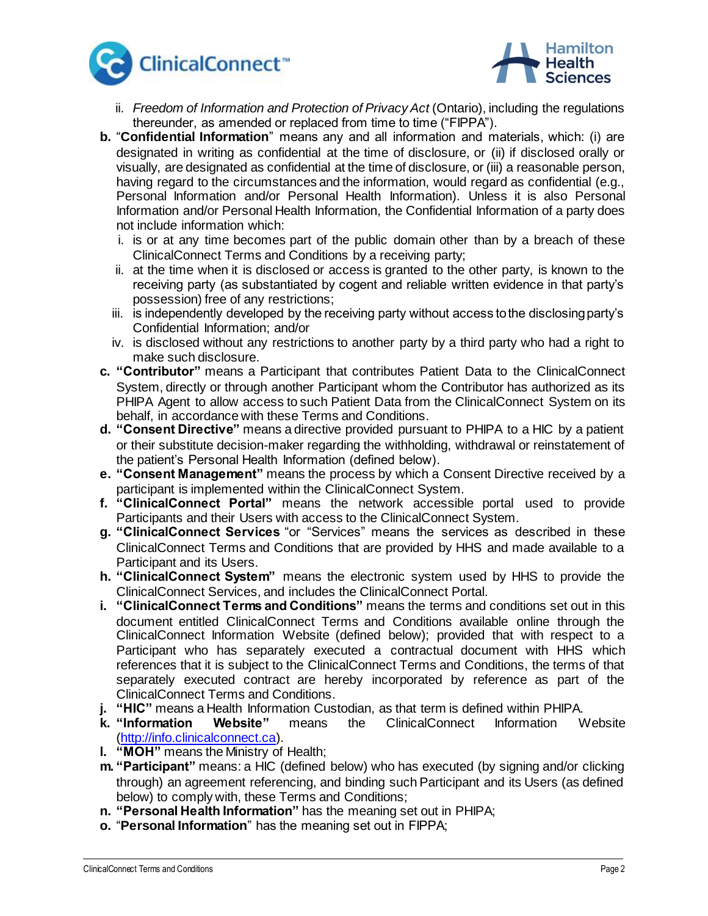



- ii. *Freedom of Information and Protection of Privacy Act* (Ontario), including the regulations thereunder, as amended or replaced from time to time ("FIPPA").
- **b.** "**Confidential Information**" means any and all information and materials, which: (i) are designated in writing as confidential at the time of disclosure, or (ii) if disclosed orally or visually, are designated as confidential at the time of disclosure, or (iii) a reasonable person, having regard to the circumstances and the information, would regard as confidential (e.g., Personal Information and/or Personal Health Information). Unless it is also Personal Information and/or Personal Health Information, the Confidential Information of a party does not include information which:
	- i. is or at any time becomes part of the public domain other than by a breach of these ClinicalConnect Terms and Conditions by a receiving party;
	- ii. at the time when it is disclosed or access is granted to the other party, is known to the receiving party (as substantiated by cogent and reliable written evidence in that party's possession) free of any restrictions;
	- iii. is independently developed by the receiving party without access to the disclosing party's Confidential Information; and/or
	- iv. is disclosed without any restrictions to another party by a third party who had a right to make such disclosure.
- **c. "Contributor"** means a Participant that contributes Patient Data to the ClinicalConnect System, directly or through another Participant whom the Contributor has authorized as its PHIPA Agent to allow access to such Patient Data from the ClinicalConnect System on its behalf, in accordance with these Terms and Conditions.
- **d. "Consent Directive"** means a directive provided pursuant to PHIPA to a HIC by a patient or their substitute decision-maker regarding the withholding, withdrawal or reinstatement of the patient's Personal Health Information (defined below).
- **e. "Consent Management"** means the process by which a Consent Directive received by a participant is implemented within the ClinicalConnect System.
- **f. "ClinicalConnect Portal"** means the network accessible portal used to provide Participants and their Users with access to the ClinicalConnect System.
- **g. "ClinicalConnect Services** "or "Services" means the services as described in these ClinicalConnect Terms and Conditions that are provided by HHS and made available to a Participant and its Users.
- **h. "ClinicalConnect System"** means the electronic system used by HHS to provide the ClinicalConnect Services, and includes the ClinicalConnect Portal.
- **i. "ClinicalConnect Terms and Conditions"** means the terms and conditions set out in this document entitled ClinicalConnect Terms and Conditions available online through the ClinicalConnect Information Website (defined below); provided that with respect to a Participant who has separately executed a contractual document with HHS which references that it is subject to the ClinicalConnect Terms and Conditions, the terms of that separately executed contract are hereby incorporated by reference as part of the ClinicalConnect Terms and Conditions.
- **j. "HIC"** means a Health Information Custodian, as that term is defined within PHIPA.
- **k. "Information Website"** means the ClinicalConnect Information Website [\(http://info.clinicalconnect.ca\)](http://info.clinicalconnect.ca/).
- **l. "MOH"** means the Ministry of Health;
- **m. "Participant"** means: a HIC (defined below) who has executed (by signing and/or clicking through) an agreement referencing, and binding such Participant and its Users (as defined below) to comply with, these Terms and Conditions;
- **n. "Personal Health Information"** has the meaning set out in PHIPA;
- **o.** "**Personal Information**" has the meaning set out in FIPPA;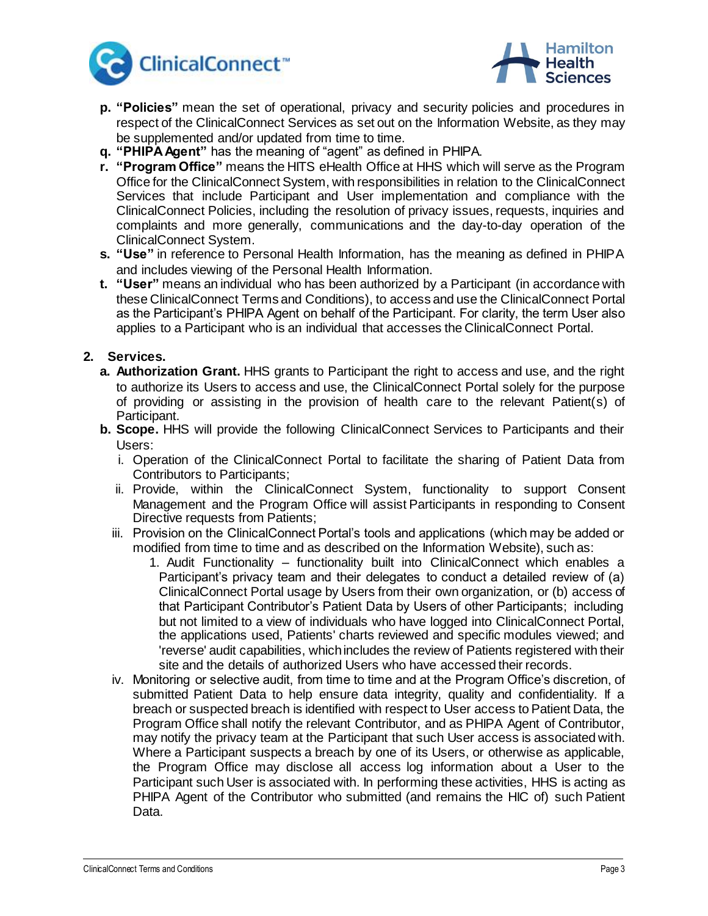



- **p. "Policies"** mean the set of operational, privacy and security policies and procedures in respect of the ClinicalConnect Services as set out on the Information Website, as they may be supplemented and/or updated from time to time.
- **q. "PHIPA Agent"** has the meaning of "agent" as defined in PHIPA.
- **r. "Program Office"** means the HITS eHealth Office at HHS which will serve as the Program Office for the ClinicalConnect System, with responsibilities in relation to the ClinicalConnect Services that include Participant and User implementation and compliance with the ClinicalConnect Policies, including the resolution of privacy issues, requests, inquiries and complaints and more generally, communications and the day-to-day operation of the ClinicalConnect System.
- **s. "Use"** in reference to Personal Health Information, has the meaning as defined in PHIPA and includes viewing of the Personal Health Information.
- **t. "User"** means an individual who has been authorized by a Participant (in accordance with these ClinicalConnect Terms and Conditions), to access and use the ClinicalConnect Portal as the Participant's PHIPA Agent on behalf of the Participant. For clarity, the term User also applies to a Participant who is an individual that accesses the ClinicalConnect Portal.

### **2. Services.**

- **a. Authorization Grant.** HHS grants to Participant the right to access and use, and the right to authorize its Users to access and use, the ClinicalConnect Portal solely for the purpose of providing or assisting in the provision of health care to the relevant Patient(s) of Participant.
- **b. Scope.** HHS will provide the following ClinicalConnect Services to Participants and their Users:
	- i. Operation of the ClinicalConnect Portal to facilitate the sharing of Patient Data from Contributors to Participants;
	- ii. Provide, within the ClinicalConnect System, functionality to support Consent Management and the Program Office will assist Participants in responding to Consent Directive requests from Patients;
	- iii. Provision on the ClinicalConnect Portal's tools and applications (which may be added or modified from time to time and as described on the Information Website), such as:
		- 1. Audit Functionality functionality built into ClinicalConnect which enables a Participant's privacy team and their delegates to conduct a detailed review of (a) ClinicalConnect Portal usage by Users from their own organization, or (b) access of that Participant Contributor's Patient Data by Users of other Participants; including but not limited to a view of individuals who have logged into ClinicalConnect Portal, the applications used, Patients' charts reviewed and specific modules viewed; and 'reverse' audit capabilities, which includes the review of Patients registered with their site and the details of authorized Users who have accessed their records.
	- iv. Monitoring or selective audit, from time to time and at the Program Office's discretion, of submitted Patient Data to help ensure data integrity, quality and confidentiality. If a breach or suspected breach is identified with respect to User access to Patient Data, the Program Office shall notify the relevant Contributor, and as PHIPA Agent of Contributor, may notify the privacy team at the Participant that such User access is associated with. Where a Participant suspects a breach by one of its Users, or otherwise as applicable, the Program Office may disclose all access log information about a User to the Participant such User is associated with. In performing these activities, HHS is acting as PHIPA Agent of the Contributor who submitted (and remains the HIC of) such Patient Data.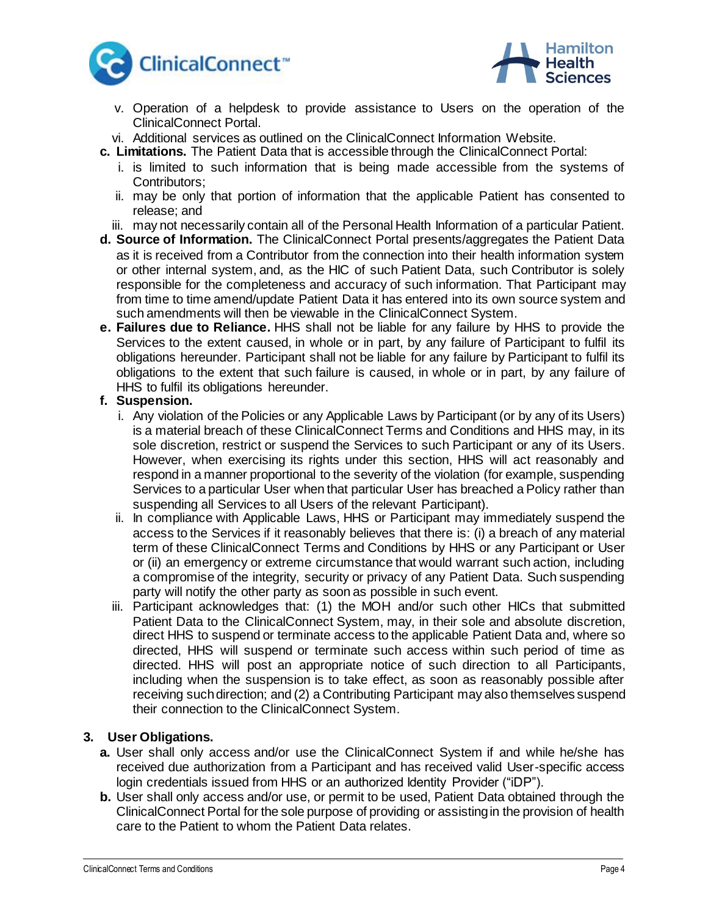



- v. Operation of a helpdesk to provide assistance to Users on the operation of the ClinicalConnect Portal.
- vi. Additional services as outlined on the ClinicalConnect Information Website.
- **c. Limitations.** The Patient Data that is accessible through the ClinicalConnect Portal:
	- i. is limited to such information that is being made accessible from the systems of Contributors;
	- ii. may be only that portion of information that the applicable Patient has consented to release; and
	- iii. may not necessarily contain all of the Personal Health Information of a particular Patient.
- **d. Source of Information.** The ClinicalConnect Portal presents/aggregates the Patient Data as it is received from a Contributor from the connection into their health information system or other internal system, and, as the HIC of such Patient Data, such Contributor is solely responsible for the completeness and accuracy of such information. That Participant may from time to time amend/update Patient Data it has entered into its own source system and such amendments will then be viewable in the ClinicalConnect System.
- **e. Failures due to Reliance.** HHS shall not be liable for any failure by HHS to provide the Services to the extent caused, in whole or in part, by any failure of Participant to fulfil its obligations hereunder. Participant shall not be liable for any failure by Participant to fulfil its obligations to the extent that such failure is caused, in whole or in part, by any failure of HHS to fulfil its obligations hereunder.

#### **f. Suspension.**

- i. Any violation of the Policies or any Applicable Laws by Participant (or by any of its Users) is a material breach of these ClinicalConnect Terms and Conditions and HHS may, in its sole discretion, restrict or suspend the Services to such Participant or any of its Users. However, when exercising its rights under this section, HHS will act reasonably and respond in a manner proportional to the severity of the violation (for example, suspending Services to a particular User when that particular User has breached a Policy rather than suspending all Services to all Users of the relevant Participant).
- ii. In compliance with Applicable Laws, HHS or Participant may immediately suspend the access to the Services if it reasonably believes that there is: (i) a breach of any material term of these ClinicalConnect Terms and Conditions by HHS or any Participant or User or (ii) an emergency or extreme circumstance that would warrant such action, including a compromise of the integrity, security or privacy of any Patient Data. Such suspending party will notify the other party as soon as possible in such event.
- iii. Participant acknowledges that: (1) the MOH and/or such other HICs that submitted Patient Data to the ClinicalConnect System, may, in their sole and absolute discretion, direct HHS to suspend or terminate access to the applicable Patient Data and, where so directed, HHS will suspend or terminate such access within such period of time as directed. HHS will post an appropriate notice of such direction to all Participants, including when the suspension is to take effect, as soon as reasonably possible after receiving such direction; and (2) a Contributing Participant may also themselves suspend their connection to the ClinicalConnect System.

### **3. User Obligations.**

- **a.** User shall only access and/or use the ClinicalConnect System if and while he/she has received due authorization from a Participant and has received valid User-specific access login credentials issued from HHS or an authorized Identity Provider ("iDP").
- **b.** User shall only access and/or use, or permit to be used, Patient Data obtained through the ClinicalConnect Portal for the sole purpose of providing or assisting in the provision of health care to the Patient to whom the Patient Data relates.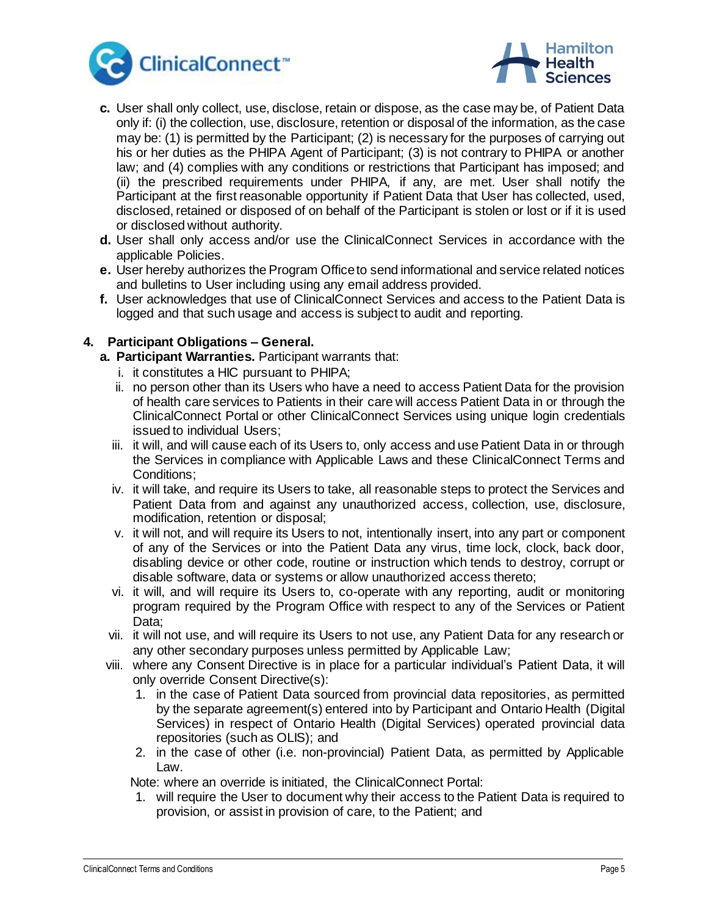



- **c.** User shall only collect, use, disclose, retain or dispose, as the case may be, of Patient Data only if: (i) the collection, use, disclosure, retention or disposal of the information, as the case may be: (1) is permitted by the Participant; (2) is necessary for the purposes of carrying out his or her duties as the PHIPA Agent of Participant; (3) is not contrary to PHIPA or another law; and (4) complies with any conditions or restrictions that Participant has imposed; and (ii) the prescribed requirements under PHIPA, if any, are met. User shall notify the Participant at the first reasonable opportunity if Patient Data that User has collected, used, disclosed, retained or disposed of on behalf of the Participant is stolen or lost or if it is used or disclosed without authority.
- **d.** User shall only access and/or use the ClinicalConnect Services in accordance with the applicable Policies.
- **e.** User hereby authorizes the Program Office to send informational and service related notices and bulletins to User including using any email address provided.
- **f.** User acknowledges that use of ClinicalConnect Services and access to the Patient Data is logged and that such usage and access is subject to audit and reporting.

# **4. Participant Obligations – General.**

- **a. Participant Warranties.** Participant warrants that:
	- i. it constitutes a HIC pursuant to PHIPA;
	- ii. no person other than its Users who have a need to access Patient Data for the provision of health care services to Patients in their care will access Patient Data in or through the ClinicalConnect Portal or other ClinicalConnect Services using unique login credentials issued to individual Users;
	- iii. it will, and will cause each of its Users to, only access and use Patient Data in or through the Services in compliance with Applicable Laws and these ClinicalConnect Terms and Conditions;
	- iv. it will take, and require its Users to take, all reasonable steps to protect the Services and Patient Data from and against any unauthorized access, collection, use, disclosure, modification, retention or disposal;
	- v. it will not, and will require its Users to not, intentionally insert, into any part or component of any of the Services or into the Patient Data any virus, time lock, clock, back door, disabling device or other code, routine or instruction which tends to destroy, corrupt or disable software, data or systems or allow unauthorized access thereto;
	- vi. it will, and will require its Users to, co-operate with any reporting, audit or monitoring program required by the Program Office with respect to any of the Services or Patient Data;
	- vii. it will not use, and will require its Users to not use, any Patient Data for any research or any other secondary purposes unless permitted by Applicable Law;
- viii. where any Consent Directive is in place for a particular individual's Patient Data, it will only override Consent Directive(s):
	- 1. in the case of Patient Data sourced from provincial data repositories, as permitted by the separate agreement(s) entered into by Participant and Ontario Health (Digital Services) in respect of Ontario Health (Digital Services) operated provincial data repositories (such as OLIS); and
	- 2. in the case of other (i.e. non-provincial) Patient Data, as permitted by Applicable Law.

Note: where an override is initiated, the ClinicalConnect Portal:

1. will require the User to document why their access to the Patient Data is required to provision, or assist in provision of care, to the Patient; and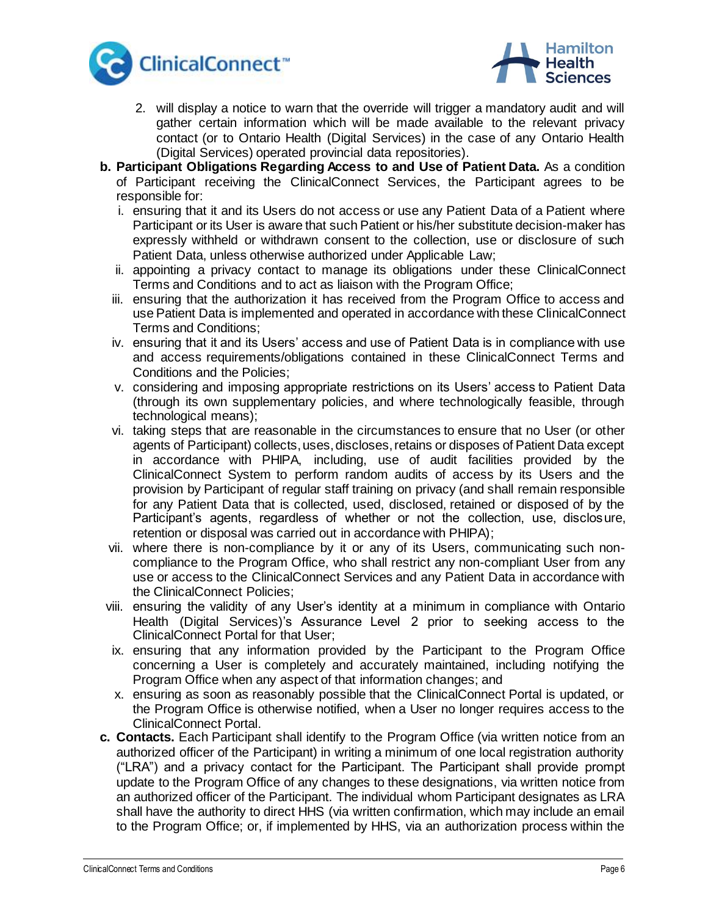



- 2. will display a notice to warn that the override will trigger a mandatory audit and will gather certain information which will be made available to the relevant privacy contact (or to Ontario Health (Digital Services) in the case of any Ontario Health (Digital Services) operated provincial data repositories).
- **b. Participant Obligations Regarding Access to and Use of Patient Data.** As a condition of Participant receiving the ClinicalConnect Services, the Participant agrees to be responsible for:
	- i. ensuring that it and its Users do not access or use any Patient Data of a Patient where Participant or its User is aware that such Patient or his/her substitute decision-maker has expressly withheld or withdrawn consent to the collection, use or disclosure of such Patient Data, unless otherwise authorized under Applicable Law;
	- ii. appointing a privacy contact to manage its obligations under these ClinicalConnect Terms and Conditions and to act as liaison with the Program Office;
	- iii. ensuring that the authorization it has received from the Program Office to access and use Patient Data is implemented and operated in accordance with these ClinicalConnect Terms and Conditions;
	- iv. ensuring that it and its Users' access and use of Patient Data is in compliance with use and access requirements/obligations contained in these ClinicalConnect Terms and Conditions and the Policies;
	- v. considering and imposing appropriate restrictions on its Users' access to Patient Data (through its own supplementary policies, and where technologically feasible, through technological means);
	- vi. taking steps that are reasonable in the circumstances to ensure that no User (or other agents of Participant) collects, uses, discloses, retains or disposes of Patient Data except in accordance with PHIPA, including, use of audit facilities provided by the ClinicalConnect System to perform random audits of access by its Users and the provision by Participant of regular staff training on privacy (and shall remain responsible for any Patient Data that is collected, used, disclosed, retained or disposed of by the Participant's agents, regardless of whether or not the collection, use, disclosure, retention or disposal was carried out in accordance with PHIPA);
	- vii. where there is non-compliance by it or any of its Users, communicating such noncompliance to the Program Office, who shall restrict any non-compliant User from any use or access to the ClinicalConnect Services and any Patient Data in accordance with the ClinicalConnect Policies;
- viii. ensuring the validity of any User's identity at a minimum in compliance with Ontario Health (Digital Services)'s Assurance Level 2 prior to seeking access to the ClinicalConnect Portal for that User;
- ix. ensuring that any information provided by the Participant to the Program Office concerning a User is completely and accurately maintained, including notifying the Program Office when any aspect of that information changes; and
- x. ensuring as soon as reasonably possible that the ClinicalConnect Portal is updated, or the Program Office is otherwise notified, when a User no longer requires access to the ClinicalConnect Portal.
- **c. Contacts.** Each Participant shall identify to the Program Office (via written notice from an authorized officer of the Participant) in writing a minimum of one local registration authority ("LRA") and a privacy contact for the Participant. The Participant shall provide prompt update to the Program Office of any changes to these designations, via written notice from an authorized officer of the Participant. The individual whom Participant designates as LRA shall have the authority to direct HHS (via written confirmation, which may include an email to the Program Office; or, if implemented by HHS, via an authorization process within the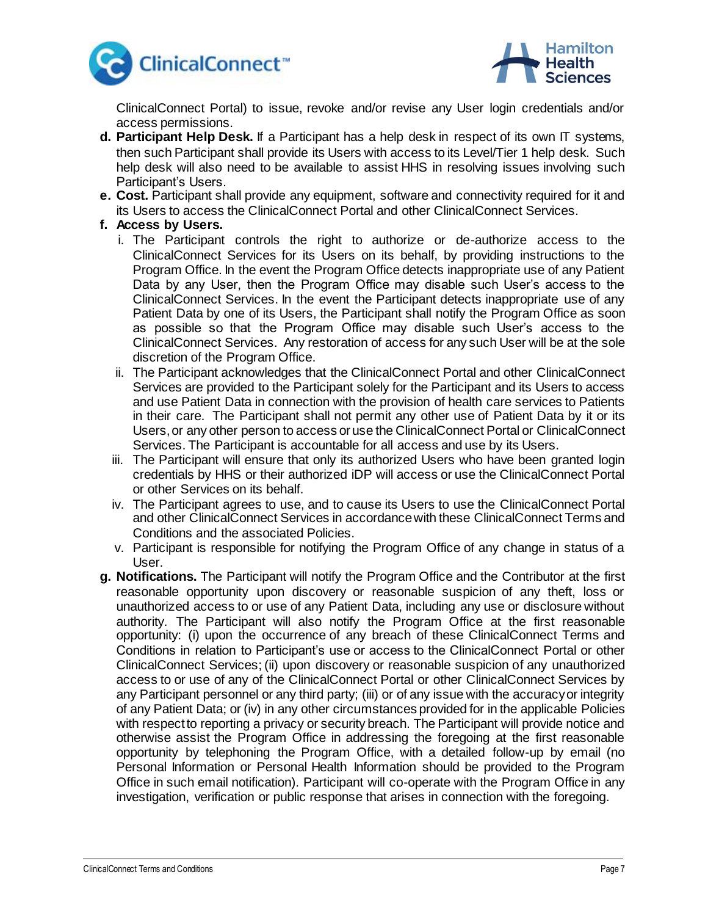



ClinicalConnect Portal) to issue, revoke and/or revise any User login credentials and/or access permissions.

- **d. Participant Help Desk.** If a Participant has a help desk in respect of its own IT systems, then such Participant shall provide its Users with access to its Level/Tier 1 help desk. Such help desk will also need to be available to assist HHS in resolving issues involving such Participant's Users.
- **e. Cost.** Participant shall provide any equipment, software and connectivity required for it and its Users to access the ClinicalConnect Portal and other ClinicalConnect Services.
- **f. Access by Users.**
	- i. The Participant controls the right to authorize or de-authorize access to the ClinicalConnect Services for its Users on its behalf, by providing instructions to the Program Office. In the event the Program Office detects inappropriate use of any Patient Data by any User, then the Program Office may disable such User's access to the ClinicalConnect Services. In the event the Participant detects inappropriate use of any Patient Data by one of its Users, the Participant shall notify the Program Office as soon as possible so that the Program Office may disable such User's access to the ClinicalConnect Services. Any restoration of access for any such User will be at the sole discretion of the Program Office.
	- ii. The Participant acknowledges that the ClinicalConnect Portal and other ClinicalConnect Services are provided to the Participant solely for the Participant and its Users to access and use Patient Data in connection with the provision of health care services to Patients in their care. The Participant shall not permit any other use of Patient Data by it or its Users, or any other person to access or use the ClinicalConnect Portal or ClinicalConnect Services. The Participant is accountable for all access and use by its Users.
	- iii. The Participant will ensure that only its authorized Users who have been granted login credentials by HHS or their authorized iDP will access or use the ClinicalConnect Portal or other Services on its behalf.
	- iv. The Participant agrees to use, and to cause its Users to use the ClinicalConnect Portal and other ClinicalConnect Services in accordance with these ClinicalConnect Terms and Conditions and the associated Policies.
	- v. Participant is responsible for notifying the Program Office of any change in status of a User.
- **g. Notifications.** The Participant will notify the Program Office and the Contributor at the first reasonable opportunity upon discovery or reasonable suspicion of any theft, loss or unauthorized access to or use of any Patient Data, including any use or disclosure without authority. The Participant will also notify the Program Office at the first reasonable opportunity: (i) upon the occurrence of any breach of these ClinicalConnect Terms and Conditions in relation to Participant's use or access to the ClinicalConnect Portal or other ClinicalConnect Services; (ii) upon discovery or reasonable suspicion of any unauthorized access to or use of any of the ClinicalConnect Portal or other ClinicalConnect Services by any Participant personnel or any third party; (iii) or of any issue with the accuracy or integrity of any Patient Data; or (iv) in any other circumstances provided for in the applicable Policies with respect to reporting a privacy or security breach. The Participant will provide notice and otherwise assist the Program Office in addressing the foregoing at the first reasonable opportunity by telephoning the Program Office, with a detailed follow-up by email (no Personal Information or Personal Health Information should be provided to the Program Office in such email notification). Participant will co-operate with the Program Office in any investigation, verification or public response that arises in connection with the foregoing.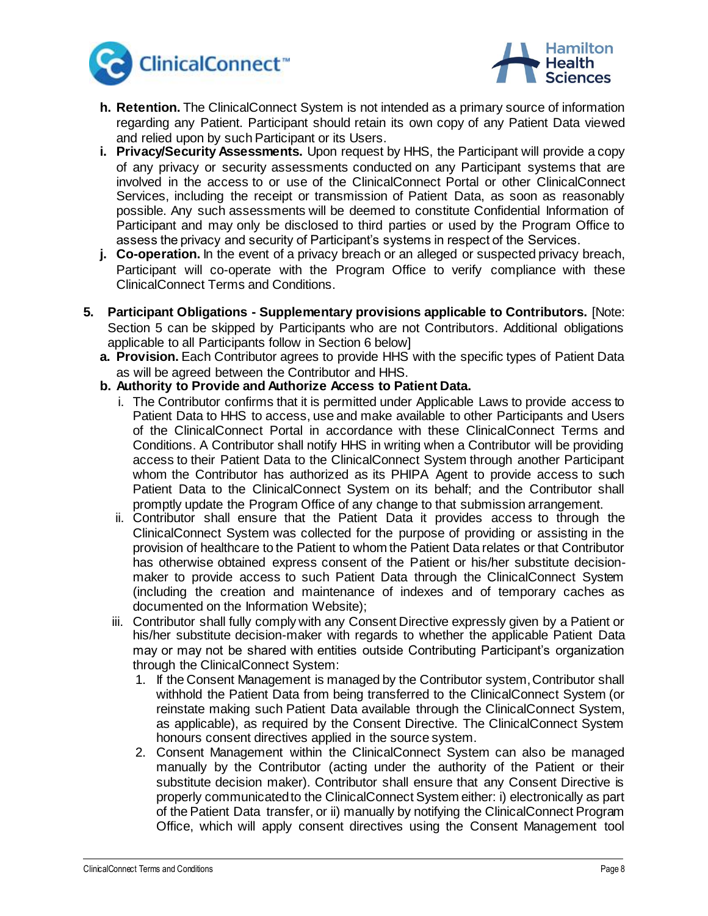



- **h. Retention.** The ClinicalConnect System is not intended as a primary source of information regarding any Patient. Participant should retain its own copy of any Patient Data viewed and relied upon by such Participant or its Users.
- **i. Privacy/Security Assessments.** Upon request by HHS, the Participant will provide a copy of any privacy or security assessments conducted on any Participant systems that are involved in the access to or use of the ClinicalConnect Portal or other ClinicalConnect Services, including the receipt or transmission of Patient Data, as soon as reasonably possible. Any such assessments will be deemed to constitute Confidential Information of Participant and may only be disclosed to third parties or used by the Program Office to assess the privacy and security of Participant's systems in respect of the Services.
- **j. Co-operation.** In the event of a privacy breach or an alleged or suspected privacy breach, Participant will co-operate with the Program Office to verify compliance with these ClinicalConnect Terms and Conditions.
- **5. Participant Obligations - Supplementary provisions applicable to Contributors.** [Note: Section 5 can be skipped by Participants who are not Contributors. Additional obligations applicable to all Participants follow in Section 6 below]
	- **a. Provision.** Each Contributor agrees to provide HHS with the specific types of Patient Data as will be agreed between the Contributor and HHS.
	- **b. Authority to Provide and Authorize Access to Patient Data.** 
		- i. The Contributor confirms that it is permitted under Applicable Laws to provide access to Patient Data to HHS to access, use and make available to other Participants and Users of the ClinicalConnect Portal in accordance with these ClinicalConnect Terms and Conditions. A Contributor shall notify HHS in writing when a Contributor will be providing access to their Patient Data to the ClinicalConnect System through another Participant whom the Contributor has authorized as its PHIPA Agent to provide access to such Patient Data to the ClinicalConnect System on its behalf; and the Contributor shall promptly update the Program Office of any change to that submission arrangement.
		- ii. Contributor shall ensure that the Patient Data it provides access to through the ClinicalConnect System was collected for the purpose of providing or assisting in the provision of healthcare to the Patient to whom the Patient Data relates or that Contributor has otherwise obtained express consent of the Patient or his/her substitute decisionmaker to provide access to such Patient Data through the ClinicalConnect System (including the creation and maintenance of indexes and of temporary caches as documented on the Information Website);
		- iii. Contributor shall fully comply with any Consent Directive expressly given by a Patient or his/her substitute decision-maker with regards to whether the applicable Patient Data may or may not be shared with entities outside Contributing Participant's organization through the ClinicalConnect System:
			- 1. If the Consent Management is managed by the Contributor system, Contributor shall withhold the Patient Data from being transferred to the ClinicalConnect System (or reinstate making such Patient Data available through the ClinicalConnect System, as applicable), as required by the Consent Directive. The ClinicalConnect System honours consent directives applied in the source system.
			- 2. Consent Management within the ClinicalConnect System can also be managed manually by the Contributor (acting under the authority of the Patient or their substitute decision maker). Contributor shall ensure that any Consent Directive is properly communicated to the ClinicalConnect System either: i) electronically as part of the Patient Data transfer, or ii) manually by notifying the ClinicalConnect Program Office, which will apply consent directives using the Consent Management tool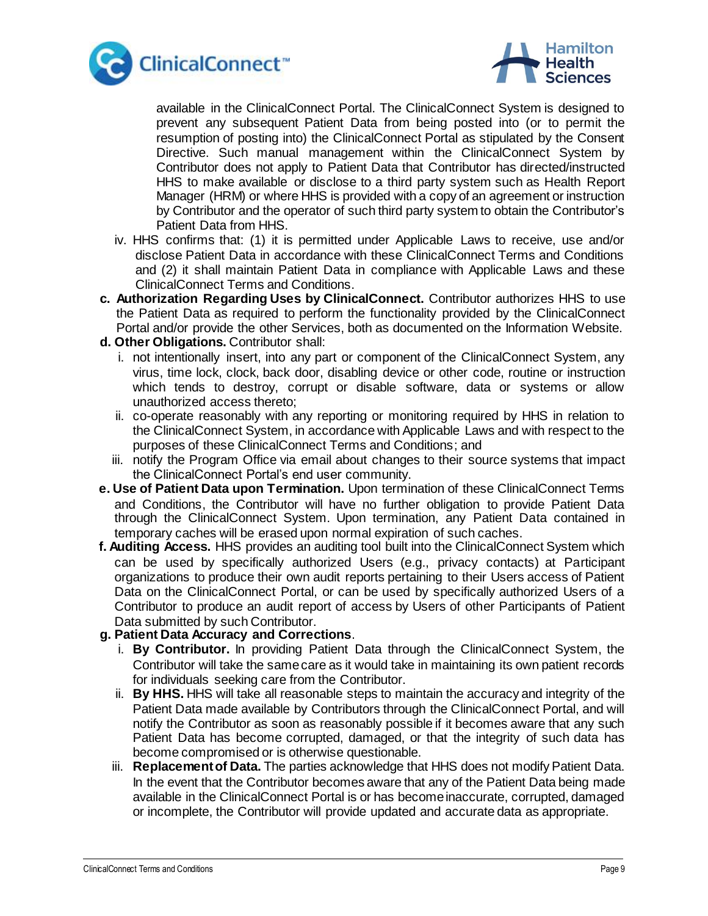



available in the ClinicalConnect Portal. The ClinicalConnect System is designed to prevent any subsequent Patient Data from being posted into (or to permit the resumption of posting into) the ClinicalConnect Portal as stipulated by the Consent Directive. Such manual management within the ClinicalConnect System by Contributor does not apply to Patient Data that Contributor has directed/instructed HHS to make available or disclose to a third party system such as Health Report Manager (HRM) or where HHS is provided with a copy of an agreement or instruction by Contributor and the operator of such third party system to obtain the Contributor's Patient Data from HHS.

- iv. HHS confirms that: (1) it is permitted under Applicable Laws to receive, use and/or disclose Patient Data in accordance with these ClinicalConnect Terms and Conditions and (2) it shall maintain Patient Data in compliance with Applicable Laws and these ClinicalConnect Terms and Conditions.
- **c. Authorization Regarding Uses by ClinicalConnect.** Contributor authorizes HHS to use the Patient Data as required to perform the functionality provided by the ClinicalConnect Portal and/or provide the other Services, both as documented on the Information Website.
- **d. Other Obligations.** Contributor shall:
	- i. not intentionally insert, into any part or component of the ClinicalConnect System, any virus, time lock, clock, back door, disabling device or other code, routine or instruction which tends to destroy, corrupt or disable software, data or systems or allow unauthorized access thereto;
	- ii. co-operate reasonably with any reporting or monitoring required by HHS in relation to the ClinicalConnect System, in accordance with Applicable Laws and with respect to the purposes of these ClinicalConnect Terms and Conditions; and
	- iii. notify the Program Office via email about changes to their source systems that impact the ClinicalConnect Portal's end user community.
- **e. Use of Patient Data upon Termination.** Upon termination of these ClinicalConnect Terms and Conditions, the Contributor will have no further obligation to provide Patient Data through the ClinicalConnect System. Upon termination, any Patient Data contained in temporary caches will be erased upon normal expiration of such caches.
- **f. Auditing Access.** HHS provides an auditing tool built into the ClinicalConnect System which can be used by specifically authorized Users (e.g., privacy contacts) at Participant organizations to produce their own audit reports pertaining to their Users access of Patient Data on the ClinicalConnect Portal, or can be used by specifically authorized Users of a Contributor to produce an audit report of access by Users of other Participants of Patient Data submitted by such Contributor.

### **g. Patient Data Accuracy and Corrections**.

- i. **By Contributor.** In providing Patient Data through the ClinicalConnect System, the Contributor will take the same care as it would take in maintaining its own patient records for individuals seeking care from the Contributor.
- ii. **By HHS.** HHS will take all reasonable steps to maintain the accuracy and integrity of the Patient Data made available by Contributors through the ClinicalConnect Portal, and will notify the Contributor as soon as reasonably possible if it becomes aware that any such Patient Data has become corrupted, damaged, or that the integrity of such data has become compromised or is otherwise questionable.
- iii. **Replacement of Data.** The parties acknowledge that HHS does not modify Patient Data. In the event that the Contributor becomes aware that any of the Patient Data being made available in the ClinicalConnect Portal is or has become inaccurate, corrupted, damaged or incomplete, the Contributor will provide updated and accurate data as appropriate.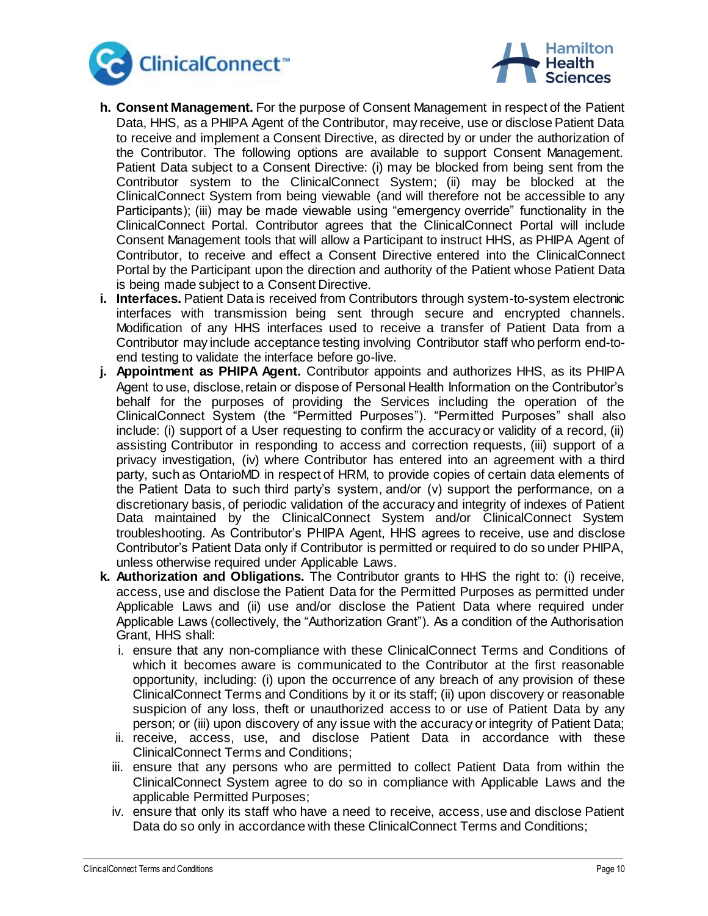



- **h. Consent Management.** For the purpose of Consent Management in respect of the Patient Data, HHS, as a PHIPA Agent of the Contributor, may receive, use or disclose Patient Data to receive and implement a Consent Directive, as directed by or under the authorization of the Contributor. The following options are available to support Consent Management. Patient Data subject to a Consent Directive: (i) may be blocked from being sent from the Contributor system to the ClinicalConnect System; (ii) may be blocked at the ClinicalConnect System from being viewable (and will therefore not be accessible to any Participants); (iii) may be made viewable using "emergency override" functionality in the ClinicalConnect Portal. Contributor agrees that the ClinicalConnect Portal will include Consent Management tools that will allow a Participant to instruct HHS, as PHIPA Agent of Contributor, to receive and effect a Consent Directive entered into the ClinicalConnect Portal by the Participant upon the direction and authority of the Patient whose Patient Data is being made subject to a Consent Directive.
- **i. Interfaces.** Patient Data is received from Contributors through system-to-system electronic interfaces with transmission being sent through secure and encrypted channels. Modification of any HHS interfaces used to receive a transfer of Patient Data from a Contributor may include acceptance testing involving Contributor staff who perform end-toend testing to validate the interface before go-live.
- **j. Appointment as PHIPA Agent.** Contributor appoints and authorizes HHS, as its PHIPA Agent to use, disclose, retain or dispose of Personal Health Information on the Contributor's behalf for the purposes of providing the Services including the operation of the ClinicalConnect System (the "Permitted Purposes"). "Permitted Purposes" shall also include: (i) support of a User requesting to confirm the accuracy or validity of a record, (ii) assisting Contributor in responding to access and correction requests, (iii) support of a privacy investigation, (iv) where Contributor has entered into an agreement with a third party, such as OntarioMD in respect of HRM, to provide copies of certain data elements of the Patient Data to such third party's system, and/or (v) support the performance, on a discretionary basis, of periodic validation of the accuracy and integrity of indexes of Patient Data maintained by the ClinicalConnect System and/or ClinicalConnect System troubleshooting. As Contributor's PHIPA Agent, HHS agrees to receive, use and disclose Contributor's Patient Data only if Contributor is permitted or required to do so under PHIPA, unless otherwise required under Applicable Laws.
- **k. Authorization and Obligations.** The Contributor grants to HHS the right to: (i) receive, access, use and disclose the Patient Data for the Permitted Purposes as permitted under Applicable Laws and (ii) use and/or disclose the Patient Data where required under Applicable Laws (collectively, the "Authorization Grant"). As a condition of the Authorisation Grant, HHS shall:
	- i. ensure that any non-compliance with these ClinicalConnect Terms and Conditions of which it becomes aware is communicated to the Contributor at the first reasonable opportunity, including: (i) upon the occurrence of any breach of any provision of these ClinicalConnect Terms and Conditions by it or its staff; (ii) upon discovery or reasonable suspicion of any loss, theft or unauthorized access to or use of Patient Data by any person; or (iii) upon discovery of any issue with the accuracy or integrity of Patient Data;
	- ii. receive, access, use, and disclose Patient Data in accordance with these ClinicalConnect Terms and Conditions;
	- iii. ensure that any persons who are permitted to collect Patient Data from within the ClinicalConnect System agree to do so in compliance with Applicable Laws and the applicable Permitted Purposes;
	- iv. ensure that only its staff who have a need to receive, access, use and disclose Patient Data do so only in accordance with these ClinicalConnect Terms and Conditions;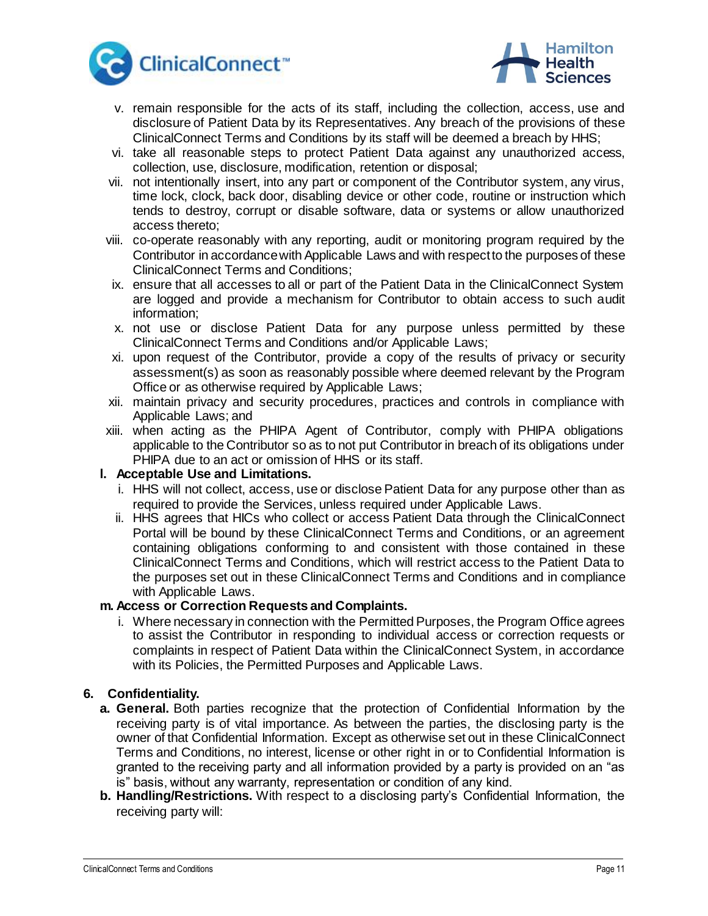



- v. remain responsible for the acts of its staff, including the collection, access, use and disclosure of Patient Data by its Representatives. Any breach of the provisions of these ClinicalConnect Terms and Conditions by its staff will be deemed a breach by HHS;
- vi. take all reasonable steps to protect Patient Data against any unauthorized access, collection, use, disclosure, modification, retention or disposal;
- vii. not intentionally insert, into any part or component of the Contributor system, any virus, time lock, clock, back door, disabling device or other code, routine or instruction which tends to destroy, corrupt or disable software, data or systems or allow unauthorized access thereto;
- viii. co-operate reasonably with any reporting, audit or monitoring program required by the Contributor in accordance with Applicable Laws and with respect to the purposes of these ClinicalConnect Terms and Conditions;
- ix. ensure that all accesses to all or part of the Patient Data in the ClinicalConnect System are logged and provide a mechanism for Contributor to obtain access to such audit information;
- x. not use or disclose Patient Data for any purpose unless permitted by these ClinicalConnect Terms and Conditions and/or Applicable Laws;
- xi. upon request of the Contributor, provide a copy of the results of privacy or security assessment(s) as soon as reasonably possible where deemed relevant by the Program Office or as otherwise required by Applicable Laws;
- xii. maintain privacy and security procedures, practices and controls in compliance with Applicable Laws; and
- xiii. when acting as the PHIPA Agent of Contributor, comply with PHIPA obligations applicable to the Contributor so as to not put Contributor in breach of its obligations under PHIPA due to an act or omission of HHS or its staff.

### **l. Acceptable Use and Limitations.**

- i. HHS will not collect, access, use or disclose Patient Data for any purpose other than as required to provide the Services, unless required under Applicable Laws.
- ii. HHS agrees that HICs who collect or access Patient Data through the ClinicalConnect Portal will be bound by these ClinicalConnect Terms and Conditions, or an agreement containing obligations conforming to and consistent with those contained in these ClinicalConnect Terms and Conditions, which will restrict access to the Patient Data to the purposes set out in these ClinicalConnect Terms and Conditions and in compliance with Applicable Laws.

#### **m. Access or Correction Requests and Complaints.**

i. Where necessary in connection with the Permitted Purposes, the Program Office agrees to assist the Contributor in responding to individual access or correction requests or complaints in respect of Patient Data within the ClinicalConnect System, in accordance with its Policies, the Permitted Purposes and Applicable Laws.

### **6. Confidentiality.**

- **a. General.** Both parties recognize that the protection of Confidential Information by the receiving party is of vital importance. As between the parties, the disclosing party is the owner of that Confidential Information. Except as otherwise set out in these ClinicalConnect Terms and Conditions, no interest, license or other right in or to Confidential Information is granted to the receiving party and all information provided by a party is provided on an "as is" basis, without any warranty, representation or condition of any kind.
- **b. Handling/Restrictions.** With respect to a disclosing party's Confidential Information, the receiving party will: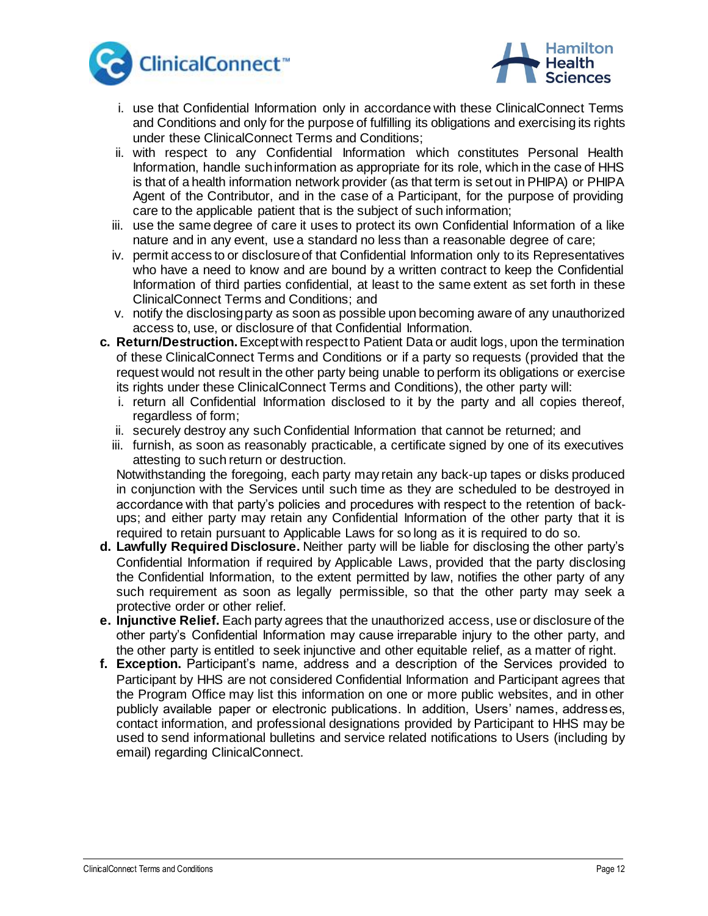



- i. use that Confidential Information only in accordance with these ClinicalConnect Terms and Conditions and only for the purpose of fulfilling its obligations and exercising its rights under these ClinicalConnect Terms and Conditions;
- ii. with respect to any Confidential Information which constitutes Personal Health Information, handle such information as appropriate for its role, which in the case of HHS is that of a health information network provider (as that term is set out in PHIPA) or PHIPA Agent of the Contributor, and in the case of a Participant, for the purpose of providing care to the applicable patient that is the subject of such information;
- iii. use the same degree of care it uses to protect its own Confidential Information of a like nature and in any event, use a standard no less than a reasonable degree of care;
- iv. permit access to or disclosure of that Confidential Information only to its Representatives who have a need to know and are bound by a written contract to keep the Confidential Information of third parties confidential, at least to the same extent as set forth in these ClinicalConnect Terms and Conditions; and
- v. notify the disclosing party as soon as possible upon becoming aware of any unauthorized access to, use, or disclosure of that Confidential Information.
- **c. Return/Destruction.**Except with respect to Patient Data or audit logs, upon the termination of these ClinicalConnect Terms and Conditions or if a party so requests (provided that the request would not result in the other party being unable to perform its obligations or exercise its rights under these ClinicalConnect Terms and Conditions), the other party will:
	- i. return all Confidential Information disclosed to it by the party and all copies thereof, regardless of form;
	- ii. securely destroy any such Confidential Information that cannot be returned; and
	- iii. furnish, as soon as reasonably practicable, a certificate signed by one of its executives attesting to such return or destruction.

Notwithstanding the foregoing, each party may retain any back-up tapes or disks produced in conjunction with the Services until such time as they are scheduled to be destroyed in accordance with that party's policies and procedures with respect to the retention of backups; and either party may retain any Confidential Information of the other party that it is required to retain pursuant to Applicable Laws for so long as it is required to do so.

- **d. Lawfully Required Disclosure.** Neither party will be liable for disclosing the other party's Confidential Information if required by Applicable Laws, provided that the party disclosing the Confidential Information, to the extent permitted by law, notifies the other party of any such requirement as soon as legally permissible, so that the other party may seek a protective order or other relief.
- **e. Injunctive Relief.** Each party agrees that the unauthorized access, use or disclosure of the other party's Confidential Information may cause irreparable injury to the other party, and the other party is entitled to seek injunctive and other equitable relief, as a matter of right.
- **f. Exception.** Participant's name, address and a description of the Services provided to Participant by HHS are not considered Confidential Information and Participant agrees that the Program Office may list this information on one or more public websites, and in other publicly available paper or electronic publications. In addition, Users' names, addresses, contact information, and professional designations provided by Participant to HHS may be used to send informational bulletins and service related notifications to Users (including by email) regarding ClinicalConnect.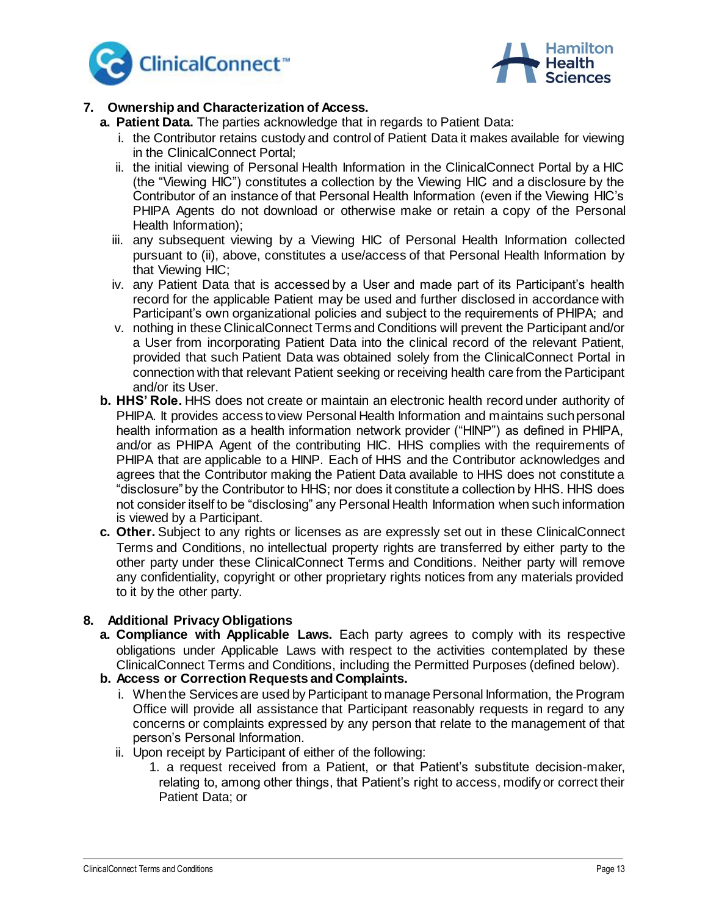



# **7. Ownership and Characterization of Access.**

- **a. Patient Data.** The parties acknowledge that in regards to Patient Data:
	- i. the Contributor retains custody and control of Patient Data it makes available for viewing in the ClinicalConnect Portal;
	- ii. the initial viewing of Personal Health Information in the ClinicalConnect Portal by a HIC (the "Viewing HIC") constitutes a collection by the Viewing HIC and a disclosure by the Contributor of an instance of that Personal Health Information (even if the Viewing HIC's PHIPA Agents do not download or otherwise make or retain a copy of the Personal Health Information);
	- iii. any subsequent viewing by a Viewing HIC of Personal Health Information collected pursuant to (ii), above, constitutes a use/access of that Personal Health Information by that Viewing HIC;
	- iv. any Patient Data that is accessed by a User and made part of its Participant's health record for the applicable Patient may be used and further disclosed in accordance with Participant's own organizational policies and subject to the requirements of PHIPA; and
	- v. nothing in these ClinicalConnect Terms and Conditions will prevent the Participant and/or a User from incorporating Patient Data into the clinical record of the relevant Patient, provided that such Patient Data was obtained solely from the ClinicalConnect Portal in connection with that relevant Patient seeking or receiving health care from the Participant and/or its User.
- **b. HHS' Role.** HHS does not create or maintain an electronic health record under authority of PHIPA. It provides access to view Personal Health Information and maintains such personal health information as a health information network provider ("HINP") as defined in PHIPA, and/or as PHIPA Agent of the contributing HIC. HHS complies with the requirements of PHIPA that are applicable to a HINP. Each of HHS and the Contributor acknowledges and agrees that the Contributor making the Patient Data available to HHS does not constitute a "disclosure" by the Contributor to HHS; nor does it constitute a collection by HHS. HHS does not consider itself to be "disclosing" any Personal Health Information when such information is viewed by a Participant.
- **c. Other.** Subject to any rights or licenses as are expressly set out in these ClinicalConnect Terms and Conditions, no intellectual property rights are transferred by either party to the other party under these ClinicalConnect Terms and Conditions. Neither party will remove any confidentiality, copyright or other proprietary rights notices from any materials provided to it by the other party.

# **8. Additional Privacy Obligations**

- **a. Compliance with Applicable Laws.** Each party agrees to comply with its respective obligations under Applicable Laws with respect to the activities contemplated by these ClinicalConnect Terms and Conditions, including the Permitted Purposes (defined below).
- **b. Access or Correction Requests and Complaints.**
	- i. When the Services are used by Participant to manage Personal Information, the Program Office will provide all assistance that Participant reasonably requests in regard to any concerns or complaints expressed by any person that relate to the management of that person's Personal Information.
	- ii. Upon receipt by Participant of either of the following:
		- 1. a request received from a Patient, or that Patient's substitute decision-maker, relating to, among other things, that Patient's right to access, modify or correct their Patient Data; or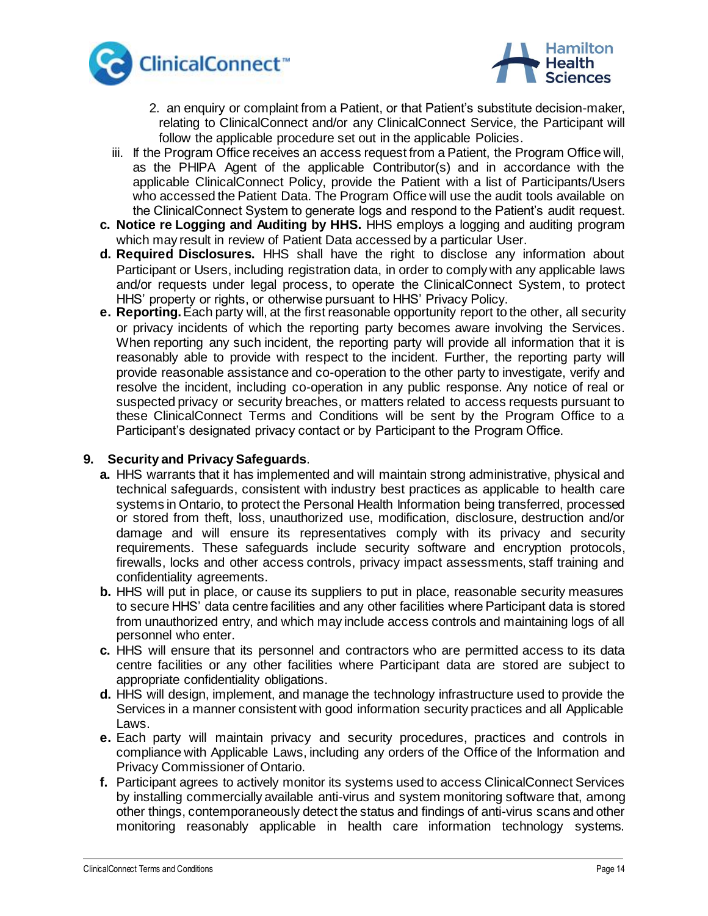



- 2. an enquiry or complaint from a Patient, or that Patient's substitute decision-maker, relating to ClinicalConnect and/or any ClinicalConnect Service, the Participant will follow the applicable procedure set out in the applicable Policies.
- iii. If the Program Office receives an access request from a Patient, the Program Office will, as the PHIPA Agent of the applicable Contributor(s) and in accordance with the applicable ClinicalConnect Policy, provide the Patient with a list of Participants/Users who accessed the Patient Data. The Program Office will use the audit tools available on the ClinicalConnect System to generate logs and respond to the Patient's audit request.
- **c. Notice re Logging and Auditing by HHS.** HHS employs a logging and auditing program which may result in review of Patient Data accessed by a particular User.
- **d. Required Disclosures.** HHS shall have the right to disclose any information about Participant or Users, including registration data, in order to comply with any applicable laws and/or requests under legal process, to operate the ClinicalConnect System, to protect HHS' property or rights, or otherwise pursuant to HHS' Privacy Policy.
- **e. Reporting.**Each party will, at the first reasonable opportunity report to the other, all security or privacy incidents of which the reporting party becomes aware involving the Services. When reporting any such incident, the reporting party will provide all information that it is reasonably able to provide with respect to the incident. Further, the reporting party will provide reasonable assistance and co-operation to the other party to investigate, verify and resolve the incident, including co-operation in any public response. Any notice of real or suspected privacy or security breaches, or matters related to access requests pursuant to these ClinicalConnect Terms and Conditions will be sent by the Program Office to a Participant's designated privacy contact or by Participant to the Program Office.

### **9. Security and Privacy Safeguards**.

- **a.** HHS warrants that it has implemented and will maintain strong administrative, physical and technical safeguards, consistent with industry best practices as applicable to health care systems in Ontario, to protect the Personal Health Information being transferred, processed or stored from theft, loss, unauthorized use, modification, disclosure, destruction and/or damage and will ensure its representatives comply with its privacy and security requirements. These safeguards include security software and encryption protocols, firewalls, locks and other access controls, privacy impact assessments, staff training and confidentiality agreements.
- **b.** HHS will put in place, or cause its suppliers to put in place, reasonable security measures to secure HHS' data centre facilities and any other facilities where Participant data is stored from unauthorized entry, and which may include access controls and maintaining logs of all personnel who enter.
- **c.** HHS will ensure that its personnel and contractors who are permitted access to its data centre facilities or any other facilities where Participant data are stored are subject to appropriate confidentiality obligations.
- **d.** HHS will design, implement, and manage the technology infrastructure used to provide the Services in a manner consistent with good information security practices and all Applicable Laws.
- **e.** Each party will maintain privacy and security procedures, practices and controls in compliance with Applicable Laws, including any orders of the Office of the Information and Privacy Commissioner of Ontario.
- **f.** Participant agrees to actively monitor its systems used to access ClinicalConnect Services by installing commercially available anti-virus and system monitoring software that, among other things, contemporaneously detect the status and findings of anti-virus scans and other monitoring reasonably applicable in health care information technology systems.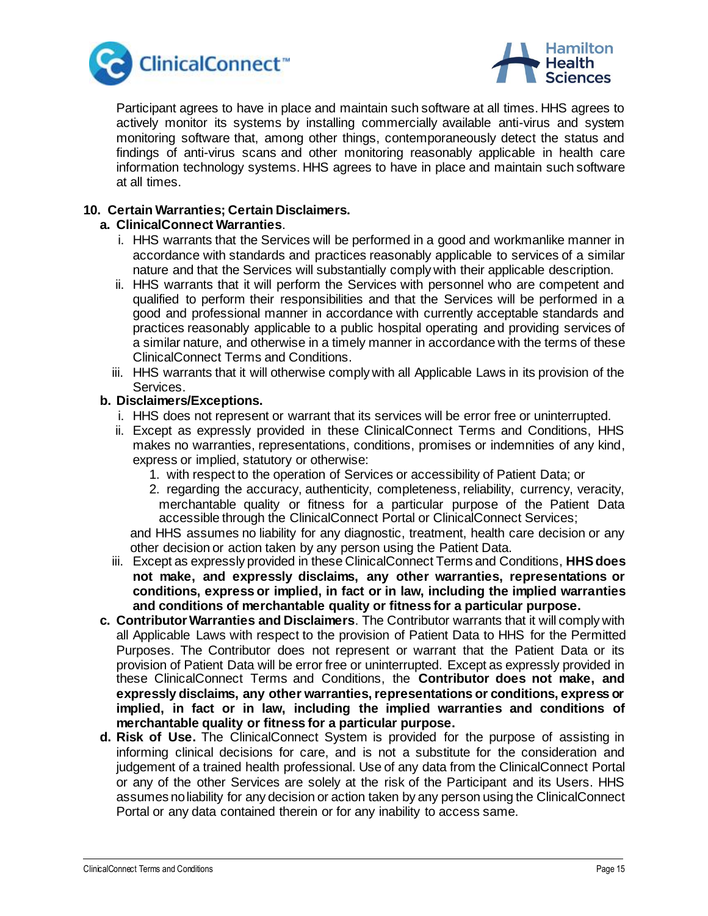



Participant agrees to have in place and maintain such software at all times. HHS agrees to actively monitor its systems by installing commercially available anti-virus and system monitoring software that, among other things, contemporaneously detect the status and findings of anti-virus scans and other monitoring reasonably applicable in health care information technology systems. HHS agrees to have in place and maintain such software at all times.

# **10. Certain Warranties; Certain Disclaimers.**

### **a. ClinicalConnect Warranties**.

- i. HHS warrants that the Services will be performed in a good and workmanlike manner in accordance with standards and practices reasonably applicable to services of a similar nature and that the Services will substantially comply with their applicable description.
- ii. HHS warrants that it will perform the Services with personnel who are competent and qualified to perform their responsibilities and that the Services will be performed in a good and professional manner in accordance with currently acceptable standards and practices reasonably applicable to a public hospital operating and providing services of a similar nature, and otherwise in a timely manner in accordance with the terms of these ClinicalConnect Terms and Conditions.
- iii. HHS warrants that it will otherwise comply with all Applicable Laws in its provision of the Services.

#### **b. Disclaimers/Exceptions.**

- i. HHS does not represent or warrant that its services will be error free or uninterrupted.
- ii. Except as expressly provided in these ClinicalConnect Terms and Conditions, HHS makes no warranties, representations, conditions, promises or indemnities of any kind, express or implied, statutory or otherwise:
	- 1. with respect to the operation of Services or accessibility of Patient Data; or
	- 2. regarding the accuracy, authenticity, completeness, reliability, currency, veracity, merchantable quality or fitness for a particular purpose of the Patient Data accessible through the ClinicalConnect Portal or ClinicalConnect Services;

and HHS assumes no liability for any diagnostic, treatment, health care decision or any other decision or action taken by any person using the Patient Data.

- iii. Except as expressly provided in these ClinicalConnect Terms and Conditions, **HHS does not make, and expressly disclaims, any other warranties, representations or conditions, express or implied, in fact or in law, including the implied warranties and conditions of merchantable quality or fitness for a particular purpose.**
- **c. Contributor Warranties and Disclaimers**. The Contributor warrants that it will comply with all Applicable Laws with respect to the provision of Patient Data to HHS for the Permitted Purposes. The Contributor does not represent or warrant that the Patient Data or its provision of Patient Data will be error free or uninterrupted. Except as expressly provided in these ClinicalConnect Terms and Conditions, the **Contributor does not make, and expressly disclaims, any other warranties, representations or conditions, express or implied, in fact or in law, including the implied warranties and conditions of merchantable quality or fitness for a particular purpose.**
- **d. Risk of Use.** The ClinicalConnect System is provided for the purpose of assisting in informing clinical decisions for care, and is not a substitute for the consideration and judgement of a trained health professional. Use of any data from the ClinicalConnect Portal or any of the other Services are solely at the risk of the Participant and its Users. HHS assumes no liability for any decision or action taken by any person using the ClinicalConnect Portal or any data contained therein or for any inability to access same.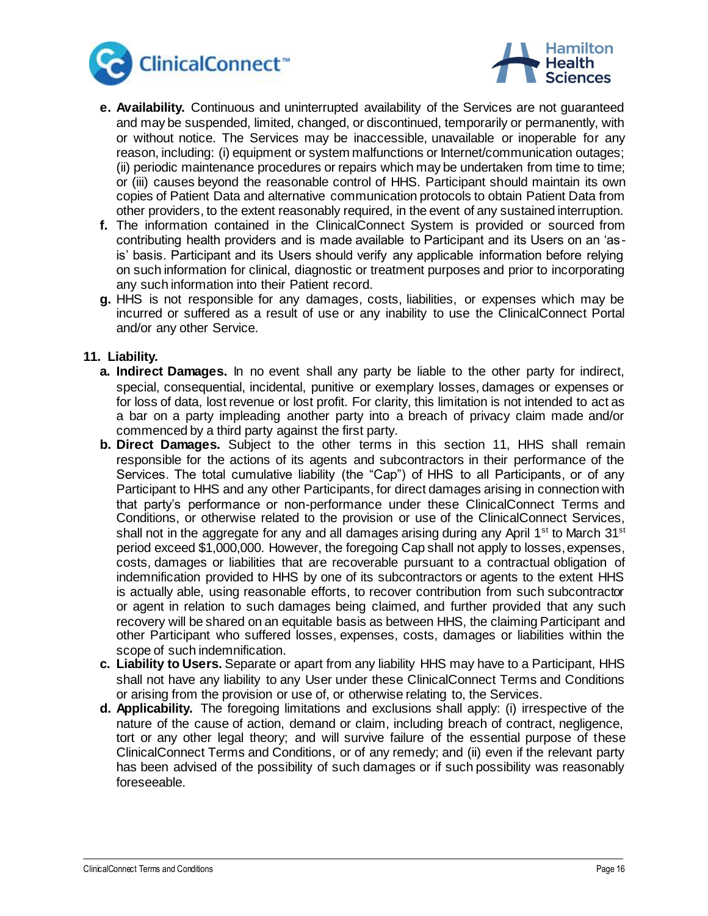



- **e. Availability.** Continuous and uninterrupted availability of the Services are not guaranteed and may be suspended, limited, changed, or discontinued, temporarily or permanently, with or without notice. The Services may be inaccessible, unavailable or inoperable for any reason, including: (i) equipment or system malfunctions or Internet/communication outages; (ii) periodic maintenance procedures or repairs which may be undertaken from time to time; or (iii) causes beyond the reasonable control of HHS. Participant should maintain its own copies of Patient Data and alternative communication protocols to obtain Patient Data from other providers, to the extent reasonably required, in the event of any sustained interruption.
- **f.** The information contained in the ClinicalConnect System is provided or sourced from contributing health providers and is made available to Participant and its Users on an 'asis' basis. Participant and its Users should verify any applicable information before relying on such information for clinical, diagnostic or treatment purposes and prior to incorporating any such information into their Patient record.
- **g.** HHS is not responsible for any damages, costs, liabilities, or expenses which may be incurred or suffered as a result of use or any inability to use the ClinicalConnect Portal and/or any other Service.

#### **11. Liability.**

- **a. Indirect Damages.** In no event shall any party be liable to the other party for indirect, special, consequential, incidental, punitive or exemplary losses, damages or expenses or for loss of data, lost revenue or lost profit. For clarity, this limitation is not intended to act as a bar on a party impleading another party into a breach of privacy claim made and/or commenced by a third party against the first party.
- **b. Direct Damages.** Subject to the other terms in this section 11, HHS shall remain responsible for the actions of its agents and subcontractors in their performance of the Services. The total cumulative liability (the "Cap") of HHS to all Participants, or of any Participant to HHS and any other Participants, for direct damages arising in connection with that party's performance or non-performance under these ClinicalConnect Terms and Conditions, or otherwise related to the provision or use of the ClinicalConnect Services, shall not in the aggregate for any and all damages arising during any April 1<sup>st</sup> to March 31<sup>st</sup> period exceed \$1,000,000. However, the foregoing Cap shall not apply to losses, expenses, costs, damages or liabilities that are recoverable pursuant to a contractual obligation of indemnification provided to HHS by one of its subcontractors or agents to the extent HHS is actually able, using reasonable efforts, to recover contribution from such subcontractor or agent in relation to such damages being claimed, and further provided that any such recovery will be shared on an equitable basis as between HHS, the claiming Participant and other Participant who suffered losses, expenses, costs, damages or liabilities within the scope of such indemnification.
- **c. Liability to Users.** Separate or apart from any liability HHS may have to a Participant, HHS shall not have any liability to any User under these ClinicalConnect Terms and Conditions or arising from the provision or use of, or otherwise relating to, the Services.
- **d. Applicability.** The foregoing limitations and exclusions shall apply: (i) irrespective of the nature of the cause of action, demand or claim, including breach of contract, negligence, tort or any other legal theory; and will survive failure of the essential purpose of these ClinicalConnect Terms and Conditions, or of any remedy; and (ii) even if the relevant party has been advised of the possibility of such damages or if such possibility was reasonably foreseeable.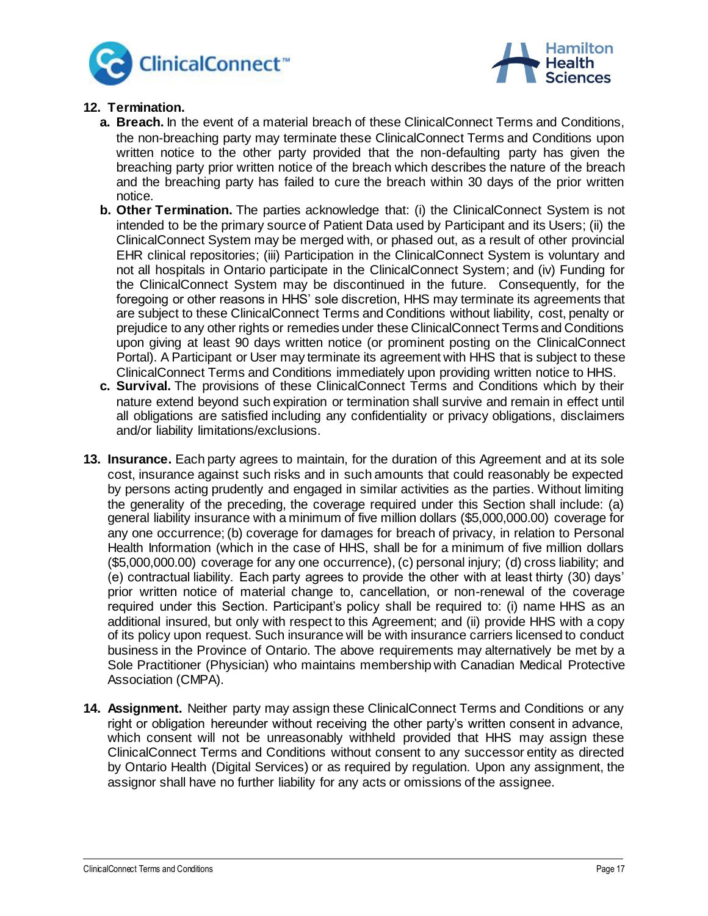



# **12. Termination.**

- **a. Breach.** In the event of a material breach of these ClinicalConnect Terms and Conditions, the non-breaching party may terminate these ClinicalConnect Terms and Conditions upon written notice to the other party provided that the non-defaulting party has given the breaching party prior written notice of the breach which describes the nature of the breach and the breaching party has failed to cure the breach within 30 days of the prior written notice.
- **b. Other Termination.** The parties acknowledge that: (i) the ClinicalConnect System is not intended to be the primary source of Patient Data used by Participant and its Users; (ii) the ClinicalConnect System may be merged with, or phased out, as a result of other provincial EHR clinical repositories; (iii) Participation in the ClinicalConnect System is voluntary and not all hospitals in Ontario participate in the ClinicalConnect System; and (iv) Funding for the ClinicalConnect System may be discontinued in the future. Consequently, for the foregoing or other reasons in HHS' sole discretion, HHS may terminate its agreements that are subject to these ClinicalConnect Terms and Conditions without liability, cost, penalty or prejudice to any other rights or remedies under these ClinicalConnect Terms and Conditions upon giving at least 90 days written notice (or prominent posting on the ClinicalConnect Portal). A Participant or User may terminate its agreement with HHS that is subject to these ClinicalConnect Terms and Conditions immediately upon providing written notice to HHS.
- **c. Survival.** The provisions of these ClinicalConnect Terms and Conditions which by their nature extend beyond such expiration or termination shall survive and remain in effect until all obligations are satisfied including any confidentiality or privacy obligations, disclaimers and/or liability limitations/exclusions.
- **13. Insurance.** Each party agrees to maintain, for the duration of this Agreement and at its sole cost, insurance against such risks and in such amounts that could reasonably be expected by persons acting prudently and engaged in similar activities as the parties. Without limiting the generality of the preceding, the coverage required under this Section shall include: (a) general liability insurance with a minimum of five million dollars (\$5,000,000.00) coverage for any one occurrence; (b) coverage for damages for breach of privacy, in relation to Personal Health Information (which in the case of HHS, shall be for a minimum of five million dollars (\$5,000,000.00) coverage for any one occurrence), (c) personal injury; (d) cross liability; and (e) contractual liability. Each party agrees to provide the other with at least thirty (30) days' prior written notice of material change to, cancellation, or non-renewal of the coverage required under this Section. Participant's policy shall be required to: (i) name HHS as an additional insured, but only with respect to this Agreement; and (ii) provide HHS with a copy of its policy upon request. Such insurance will be with insurance carriers licensed to conduct business in the Province of Ontario. The above requirements may alternatively be met by a Sole Practitioner (Physician) who maintains membership with Canadian Medical Protective Association (CMPA).
- **14. Assignment.** Neither party may assign these ClinicalConnect Terms and Conditions or any right or obligation hereunder without receiving the other party's written consent in advance, which consent will not be unreasonably withheld provided that HHS may assign these ClinicalConnect Terms and Conditions without consent to any successor entity as directed by Ontario Health (Digital Services) or as required by regulation. Upon any assignment, the assignor shall have no further liability for any acts or omissions of the assignee.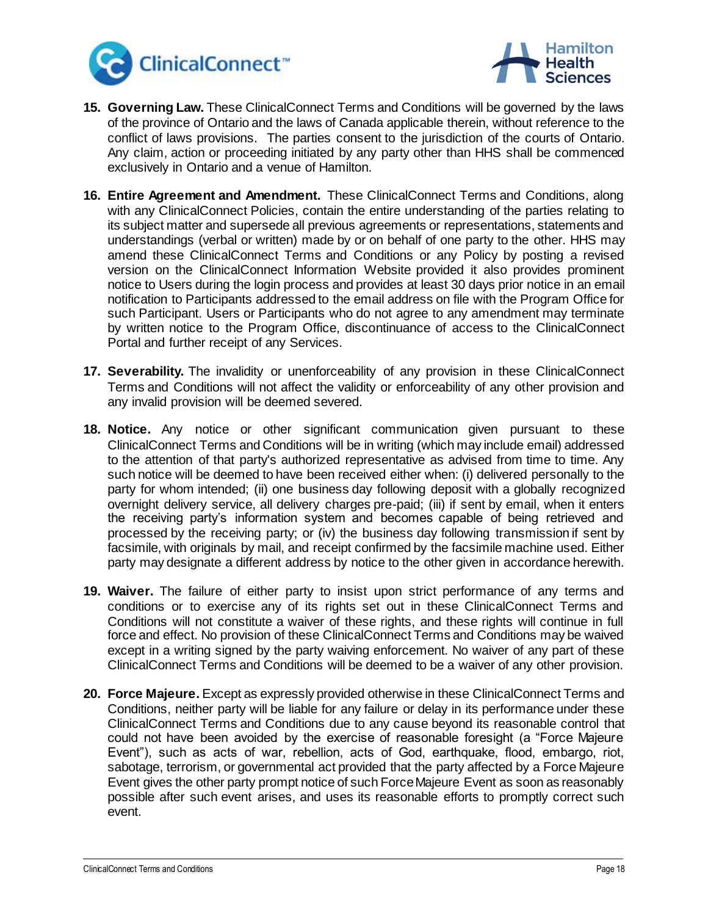



- **15. Governing Law.** These ClinicalConnect Terms and Conditions will be governed by the laws of the province of Ontario and the laws of Canada applicable therein, without reference to the conflict of laws provisions. The parties consent to the jurisdiction of the courts of Ontario. Any claim, action or proceeding initiated by any party other than HHS shall be commenced exclusively in Ontario and a venue of Hamilton.
- **16. Entire Agreement and Amendment.** These ClinicalConnect Terms and Conditions, along with any ClinicalConnect Policies, contain the entire understanding of the parties relating to its subject matter and supersede all previous agreements or representations, statements and understandings (verbal or written) made by or on behalf of one party to the other. HHS may amend these ClinicalConnect Terms and Conditions or any Policy by posting a revised version on the ClinicalConnect Information Website provided it also provides prominent notice to Users during the login process and provides at least 30 days prior notice in an email notification to Participants addressed to the email address on file with the Program Office for such Participant. Users or Participants who do not agree to any amendment may terminate by written notice to the Program Office, discontinuance of access to the ClinicalConnect Portal and further receipt of any Services.
- **17. Severability.** The invalidity or unenforceability of any provision in these ClinicalConnect Terms and Conditions will not affect the validity or enforceability of any other provision and any invalid provision will be deemed severed.
- **18. Notice.** Any notice or other significant communication given pursuant to these ClinicalConnect Terms and Conditions will be in writing (which may include email) addressed to the attention of that party's authorized representative as advised from time to time. Any such notice will be deemed to have been received either when: (i) delivered personally to the party for whom intended; (ii) one business day following deposit with a globally recognized overnight delivery service, all delivery charges pre-paid; (iii) if sent by email, when it enters the receiving party's information system and becomes capable of being retrieved and processed by the receiving party; or (iv) the business day following transmission if sent by facsimile, with originals by mail, and receipt confirmed by the facsimile machine used. Either party may designate a different address by notice to the other given in accordance herewith.
- **19. Waiver.** The failure of either party to insist upon strict performance of any terms and conditions or to exercise any of its rights set out in these ClinicalConnect Terms and Conditions will not constitute a waiver of these rights, and these rights will continue in full force and effect. No provision of these ClinicalConnect Terms and Conditions may be waived except in a writing signed by the party waiving enforcement. No waiver of any part of these ClinicalConnect Terms and Conditions will be deemed to be a waiver of any other provision.
- **20. Force Majeure.** Except as expressly provided otherwise in these ClinicalConnect Terms and Conditions, neither party will be liable for any failure or delay in its performance under these ClinicalConnect Terms and Conditions due to any cause beyond its reasonable control that could not have been avoided by the exercise of reasonable foresight (a "Force Majeure Event"), such as acts of war, rebellion, acts of God, earthquake, flood, embargo, riot, sabotage, terrorism, or governmental act provided that the party affected by a Force Majeure Event gives the other party prompt notice of such Force Majeure Event as soon as reasonably possible after such event arises, and uses its reasonable efforts to promptly correct such event.